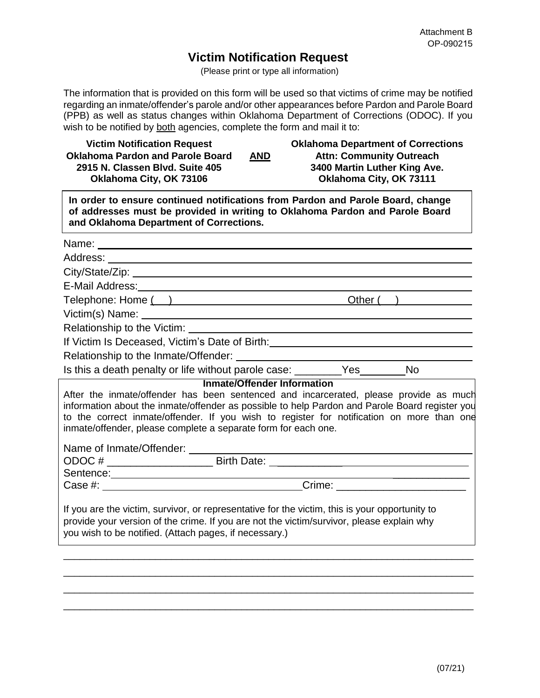## **Victim Notification Request**

(Please print or type all information)

The information that is provided on this form will be used so that victims of crime may be notified regarding an inmate/offender's parole and/or other appearances before Pardon and Parole Board (PPB) as well as status changes within Oklahoma Department of Corrections (ODOC). If you wish to be notified by both agencies, complete the form and mail it to:

| <b>Victim Notification Request</b><br><b>Oklahoma Pardon and Parole Board</b><br><b>AND</b><br>2915 N. Classen Blvd. Suite 405<br>Oklahoma City, OK 73106                                                                                                                                                                                                                                    | <b>Oklahoma Department of Corrections</b><br><b>Attn: Community Outreach</b><br>3400 Martin Luther King Ave.<br>Oklahoma City, OK 73111 |
|----------------------------------------------------------------------------------------------------------------------------------------------------------------------------------------------------------------------------------------------------------------------------------------------------------------------------------------------------------------------------------------------|-----------------------------------------------------------------------------------------------------------------------------------------|
| In order to ensure continued notifications from Pardon and Parole Board, change<br>of addresses must be provided in writing to Oklahoma Pardon and Parole Board<br>and Oklahoma Department of Corrections.                                                                                                                                                                                   |                                                                                                                                         |
|                                                                                                                                                                                                                                                                                                                                                                                              |                                                                                                                                         |
|                                                                                                                                                                                                                                                                                                                                                                                              |                                                                                                                                         |
|                                                                                                                                                                                                                                                                                                                                                                                              |                                                                                                                                         |
|                                                                                                                                                                                                                                                                                                                                                                                              |                                                                                                                                         |
| Telephone: Home ( )                                                                                                                                                                                                                                                                                                                                                                          | Other( )                                                                                                                                |
| Victim(s) Name: University of the Contract of the Contract of the Contract of the Contract of the Contract of the Contract of the Contract of the Contract of the Contract of the Contract of the Contract of the Contract of                                                                                                                                                                |                                                                                                                                         |
| Relationship to the Victim: University of the Victim and the Victim of the Victim and the Victim of the Victim                                                                                                                                                                                                                                                                               |                                                                                                                                         |
| If Victim Is Deceased, Victim's Date of Birth: Market Allen Market Allen Market Allen Market Allen Market All                                                                                                                                                                                                                                                                                |                                                                                                                                         |
|                                                                                                                                                                                                                                                                                                                                                                                              |                                                                                                                                         |
| Is this a death penalty or life without parole case: ________Yes_______No                                                                                                                                                                                                                                                                                                                    |                                                                                                                                         |
| <b>Inmate/Offender Information</b><br>After the inmate/offender has been sentenced and incarcerated, please provide as much<br>information about the inmate/offender as possible to help Pardon and Parole Board register you<br>to the correct inmate/offender. If you wish to register for notification on more than one<br>inmate/offender, please complete a separate form for each one. |                                                                                                                                         |
|                                                                                                                                                                                                                                                                                                                                                                                              |                                                                                                                                         |
|                                                                                                                                                                                                                                                                                                                                                                                              |                                                                                                                                         |
|                                                                                                                                                                                                                                                                                                                                                                                              |                                                                                                                                         |
| If you are the victim, survivor, or representative for the victim, this is your opportunity to<br>provide your version of the crime. If you are not the victim/survivor, please explain why<br>you wish to be notified. (Attach pages, if necessary.)                                                                                                                                        |                                                                                                                                         |
|                                                                                                                                                                                                                                                                                                                                                                                              |                                                                                                                                         |

\_\_\_\_\_\_\_\_\_\_\_\_\_\_\_\_\_\_\_\_\_\_\_\_\_\_\_\_\_\_\_\_\_\_\_\_\_\_\_\_\_\_\_\_\_\_\_\_\_\_\_\_\_\_\_\_\_\_\_\_\_\_\_\_\_\_\_\_\_\_\_\_\_\_\_\_